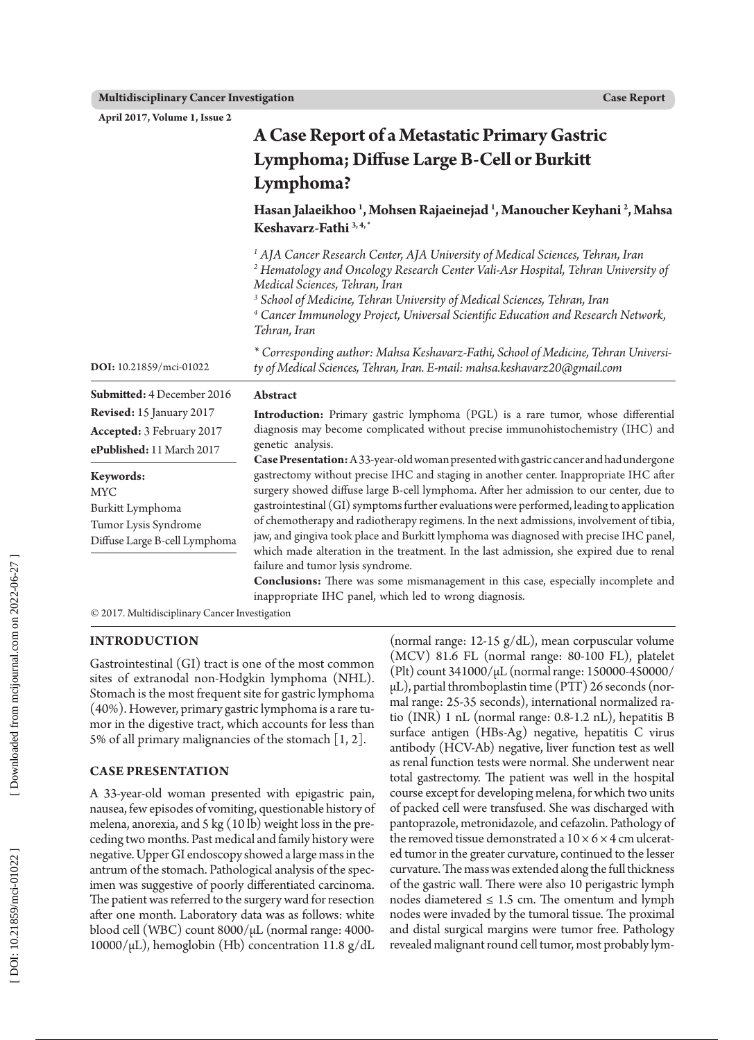**April 2017, Volume 1, Issue 2**

|                                                                                               | A Case Report of a Metastatic Primary Gastric<br>Lymphoma; Diffuse Large B-Cell or Burkitt<br>Lymphoma?                                                                                                                                                                                                                                                                                                                                                                                                                                                                                              |
|-----------------------------------------------------------------------------------------------|------------------------------------------------------------------------------------------------------------------------------------------------------------------------------------------------------------------------------------------------------------------------------------------------------------------------------------------------------------------------------------------------------------------------------------------------------------------------------------------------------------------------------------------------------------------------------------------------------|
|                                                                                               |                                                                                                                                                                                                                                                                                                                                                                                                                                                                                                                                                                                                      |
|                                                                                               |                                                                                                                                                                                                                                                                                                                                                                                                                                                                                                                                                                                                      |
|                                                                                               | Hasan Jalaeikhoo <sup>1</sup> , Mohsen Rajaeinejad <sup>1</sup> , Manoucher Keyhani <sup>2</sup> , Mahsa<br>Keshavarz-Fathi <sup>3,4,*</sup>                                                                                                                                                                                                                                                                                                                                                                                                                                                         |
|                                                                                               | <sup>1</sup> AJA Cancer Research Center, AJA University of Medical Sciences, Tehran, Iran<br><sup>2</sup> Hematology and Oncology Research Center Vali-Asr Hospital, Tehran University of<br>Medical Sciences, Tehran, Iran<br><sup>3</sup> School of Medicine, Tehran University of Medical Sciences, Tehran, Iran<br><sup>4</sup> Cancer Immunology Project, Universal Scientific Education and Research Network,<br>Tehran, Iran                                                                                                                                                                  |
| DOI: 10.21859/mci-01022                                                                       | * Corresponding author: Mahsa Keshavarz-Fathi, School of Medicine, Tehran Universi-<br>ty of Medical Sciences, Tehran, Iran. E-mail: mahsa.keshavarz20@gmail.com                                                                                                                                                                                                                                                                                                                                                                                                                                     |
| Submitted: 4 December 2016                                                                    | Abstract                                                                                                                                                                                                                                                                                                                                                                                                                                                                                                                                                                                             |
| Revised: 15 January 2017<br>Accepted: 3 February 2017<br>ePublished: 11 March 2017            | Introduction: Primary gastric lymphoma (PGL) is a rare tumor, whose differential<br>diagnosis may become complicated without precise immunohistochemistry (IHC) and<br>genetic analysis.<br>Case Presentation: A 33-year-old woman presented with gastric cancer and had undergone                                                                                                                                                                                                                                                                                                                   |
| Keywords:<br>MYC<br>Burkitt Lymphoma<br>Tumor Lysis Syndrome<br>Diffuse Large B-cell Lymphoma | gastrectomy without precise IHC and staging in another center. Inappropriate IHC after<br>surgery showed diffuse large B-cell lymphoma. After her admission to our center, due to<br>gastrointestinal (GI) symptoms further evaluations were performed, leading to application<br>of chemotherapy and radiotherapy regimens. In the next admissions, involvement of tibia,<br>jaw, and gingiva took place and Burkitt lymphoma was diagnosed with precise IHC panel,<br>which made alteration in the treatment. In the last admission, she expired due to renal<br>failure and tumor lysis syndrome. |
|                                                                                               | Conclusions: There was some mismanagement in this case, especially incomplete and<br>inappropriate IHC panel, which led to wrong diagnosis.                                                                                                                                                                                                                                                                                                                                                                                                                                                          |

© 2017. Multidisciplinary Cancer Investigation

# **INTRODUCTION**

Gastrointestinal (GI) tract is one of the most common sites of extranodal non-Hodgkin lymphoma (NHL). Stomach is the most frequent site for gastric lymphoma (40%). However, primary gastric lymphoma is a rare tu mor in the digestive tract, which accounts for less than 5% of all primary malignancies of the stomach [1, 2].

# **CASE PRESENTATION**

A 33-year-old woman presented with epigastric pain, nausea, few episodes of vomiting, questionable history of melena, anorexia, and 5 kg (10 lb) weight loss in the pre ceding two months. Past medical and family history were negative. Upper GI endoscopy showed a large mass in the antrum of the stomach. Pathological analysis of the spec imen was suggestive of poorly differentiated carcinoma. The patient was referred to the surgery ward for resection after one month. Laboratory data was as follows: white blood cell (WBC) count 8000/µL (normal range: 4000-  $10000/\mu L$ ), hemoglobin (Hb) concentration 11.8 g/dL

(normal range: 12-15 g/dL), mean corpuscular volume (MCV) 81.6 FL (normal range: 80-100 FL), platelet (Plt) count 341000/µL (normal range: 150000-450000/  $\mu$ L), partial thromboplastin time (PTT) 26 seconds (normal range: 25-35 seconds), international normalized ra tio (INR) 1 nL (normal range: 0.8-1.2 nL), hepatitis B surface antigen (HBs-Ag) negative, hepatitis C virus antibody (HCV-Ab) negative, liver function test as well as renal function tests were normal. She underwent near total gastrectomy. The patient was well in the hospital course except for developing melena, for which two units of packed cell were transfused. She was discharged with pantoprazole, metronidazole, and cefazolin. Pathology of the removed tissue demonstrated a  $10 \times 6 \times 4$  cm ulcerated tumor in the greater curvature, continued to the lesser curvature. The mass was extended along the full thickness of the gastric wall. There were also 10 perigastric lymph nodes diametered  $\leq 1.5$  cm. The omentum and lymph nodes were invaded by the tumoral tissue. The proximal and distal surgical margins were tumor free. Pathology revealed malignant round cell tumor, most probably lym -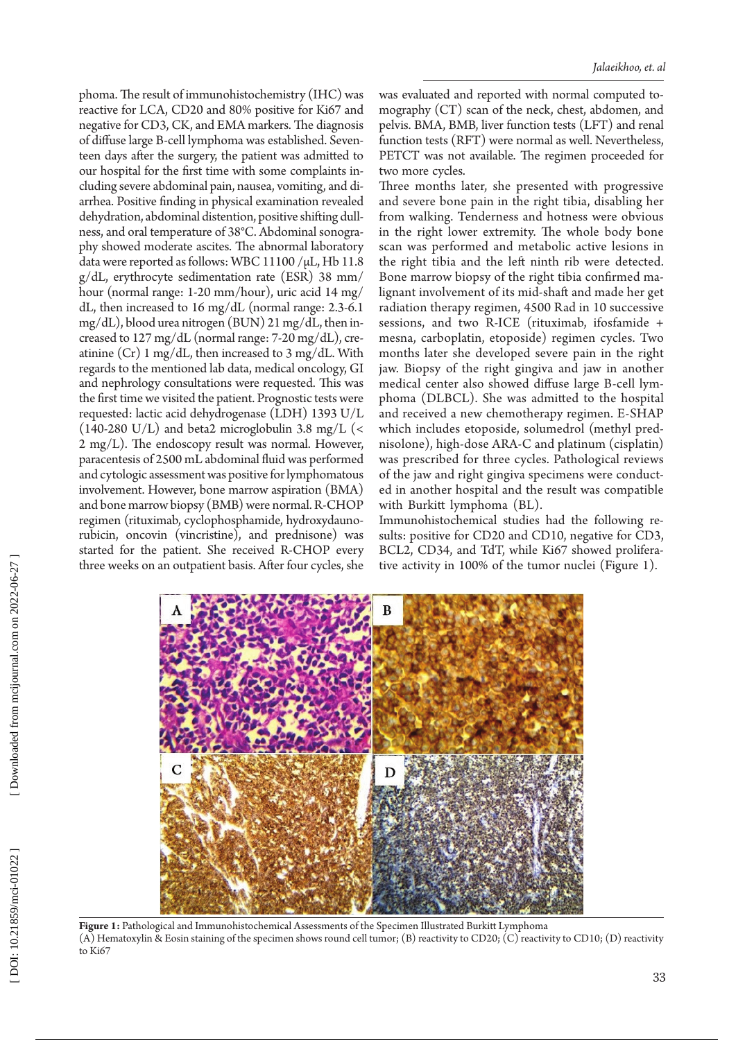phoma. The result of immunohistochemistry (IHC) was reactive for LCA, CD20 and 80% positive for Ki67 and negative for CD3, CK, and EMA markers. The diagnosis of diffuse large B-cell lymphoma was established. Seven teen days after the surgery, the patient was admitted to our hospital for the first time with some complaints in cluding severe abdominal pain, nausea, vomiting, and di arrhea. Positive finding in physical examination revealed dehydration, abdominal distention, positive shifting dull ness, and oral temperature of 38°C. Abdominal sonogra phy showed moderate ascites. The abnormal laboratory data were reported as follows: WBC 11100 /µL, Hb 11.8 g/dL, erythrocyte sedimentation rate (ESR) 38 mm/ hour (normal range: 1-20 mm/hour), uric acid 14 mg/ dL, then increased to 16 mg/dL (normal range: 2.3-6.1 mg/dL), blood urea nitrogen (BUN) 21 mg/dL, then in creased to 127 mg/dL (normal range: 7-20 mg/dL), cre atinine  $(Cr)$  1 mg/dL, then increased to 3 mg/dL. With regards to the mentioned lab data, medical oncology, GI and nephrology consultations were requested. This was the first time we visited the patient. Prognostic tests were requested: lactic acid dehydrogenase (LDH) 1393 U/L (140-280 U/L) and beta2 microglobulin 3.8 mg/L (< 2 mg/L). The endoscopy result was normal. However, paracentesis of 2500 mL abdominal fluid was performed and cytologic assessment was positive for lymphomatous involvement. However, bone marrow aspiration (BMA) and bone marrow biopsy (BMB) were normal. R-CHOP regimen (rituximab, cyclophosphamide, hydroxydauno rubicin, oncovin (vincristine), and prednisone) was started for the patient. She received R-CHOP every three weeks on an outpatient basis. After four cycles, she

was evaluated and reported with normal computed to mography (CT) scan of the neck, chest, abdomen, and pelvis. BMA, BMB, liver function tests (LFT) and renal function tests (RFT) were normal as well. Nevertheless, PETCT was not available. The regimen proceeded for two more cycles .

Three months later, she presented with progressive and severe bone pain in the right tibia, disabling her from walking. Tenderness and hotness were obvious in the right lower extremity. The whole body bone scan was performed and metabolic active lesions in the right tibia and the left ninth rib were detected. Bone marrow biopsy of the right tibia confirmed ma lignant involvement of its mid-shaft and made her get radiation therapy regimen, 4500 Rad in 10 successive sessions, and two R-ICE (rituximab, ifosfamide + mesna, carboplatin, etoposide) regimen cycles. Two months later she developed severe pain in the right jaw. Biopsy of the right gingiva and jaw in another medical center also showed diffuse large B-cell lym phoma (DLBCL). She was admitted to the hospital and received a new chemotherapy regimen. E-SHAP which includes etoposide, solumedrol (methyl pred nisolone), high-dose ARA-C and platinum (cisplatin) was prescribed for three cycles. Pathological reviews of the jaw and right gingiva specimens were conduct ed in another hospital and the result was compatible with Burkitt lymphoma (BL) .

Immunohistochemical studies had the following re sults: positive for CD20 and CD10, negative for CD3, BCL2, CD34, and TdT, while Ki67 showed prolifera tive activity in 100% of the tumor nuclei (Figure 1) .



**Figure 1:** Pathological and Immunohistochemical Assessments of the Specimen Illustrated Burkitt Lymphoma (A) Hematoxylin & Eosin staining of the specimen shows round cell tumor; (B) reactivity to CD20; (C) reactivity to CD10; (D) reactivity to Ki67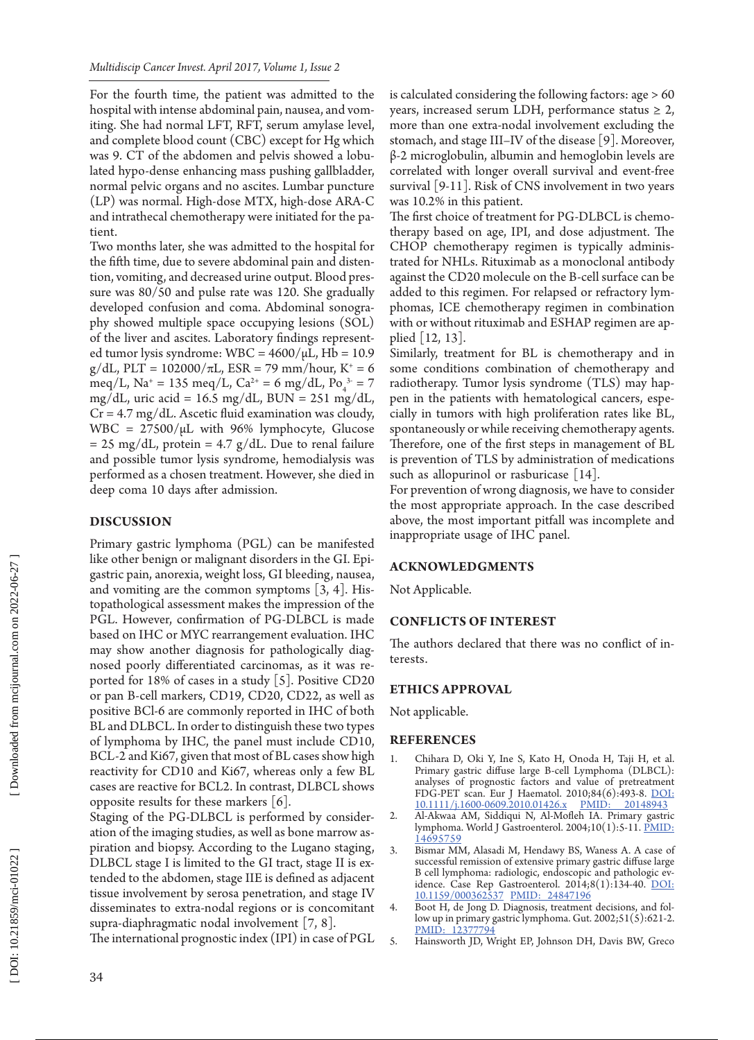For the fourth time, the patient was admitted to the hospital with intense abdominal pain, nausea, and vom iting. She had normal LFT, RFT, serum amylase level, and complete blood count (CBC) except for Hg which was 9. CT of the abdomen and pelvis showed a lobu lated hypo-dense enhancing mass pushing gallbladder, normal pelvic organs and no ascites. Lumbar puncture (LP) was normal. High-dose MTX, high-dose ARA-C and intrathecal chemotherapy were initiated for the pa tient .

Two months later, she was admitted to the hospital for the fifth time, due to severe abdominal pain and disten tion, vomiting, and decreased urine output. Blood pres sure was 80/50 and pulse rate was 120. She gradually developed confusion and coma. Abdominal sonogra phy showed multiple space occupying lesions (SOL) of the liver and ascites. Laboratory findings represent ed tumor lysis syndrome: WBC =  $4600/\mu L$ , Hb = 10.9  $g/dL$ , PLT = 102000/ $\pi$ L, ESR = 79 mm/hour, K<sup>+</sup> = 6 meq/L, Na<sup>+</sup> = 135 meq/L, Ca<sup>2+</sup> = 6 mg/dL, Po<sub>4</sub><sup>3-</sup> = 7 mg/dL, uric acid =  $16.5 \text{ mg/dL}$ , BUN =  $251 \text{ mg/dL}$ ,  $Cr = 4.7$  mg/dL. Ascetic fluid examination was cloudy, WBC =  $27500/\mu$ L with 96% lymphocyte, Glucose  $= 25$  mg/dL, protein  $= 4.7$  g/dL. Due to renal failure and possible tumor lysis syndrome, hemodialysis was performed as a chosen treatment. However, she died in deep coma 10 days after admission .

## **Discussion**

Primary gastric lymphoma (PGL) can be manifested like other benign or malignant disorders in the GI. Epi gastric pain, anorexia, weight loss, GI bleeding, nausea, and vomiting are the common symptoms [3, 4]. His topathological assessment makes the impression of the PGL. However, confirmation of PG-DLBCL is made based on IHC or MYC rearrangement evaluation. IHC may show another diagnosis for pathologically diag nosed poorly differentiated carcinomas, as it was re ported for 18% of cases in a study [5]. Positive CD20 or pan B-cell markers, CD19, CD20, CD22, as well as positive BCl-6 are commonly reported in IHC of both BL and DLBCL. In order to distinguish these two types of lymphoma by IHC, the panel must include CD10, BCL-2 and Ki67, given that most of BL cases show high reactivity for CD10 and Ki67, whereas only a few BL cases are reactive for BCL2. In contrast, DLBCL shows opposite results for these markers  $[6]$ .

Staging of the PG-DLBCL is performed by consider ation of the imaging studies, as well as bone marrow as piration and biopsy. According to the Lugano staging, DLBCL stage I is limited to the GI tract, stage II is ex tended to the abdomen, stage IIE is defined as adjacent tissue involvement by serosa penetration, and stage IV disseminates to extra-nodal regions or is concomitant supra-diaphragmatic nodal involvement [7, 8].

The international prognostic index (IPI) in case of PGL

is calculated considering the following factors: age > 60 years, increased serum LDH, performance status  $\geq 2$ , more than one extra-nodal involvement excluding the stomach, and stage III–IV of the disease [9]. Moreover, β-2 microglobulin, albumin and hemoglobin levels are correlated with longer overall survival and event-free survival [9-11]. Risk of CNS involvement in two years was 10.2% in this patient .

The first choice of treatment for PG-DLBCL is chemo therapy based on age, IPI, and dose adjustment. The CHOP chemotherapy regimen is typically adminis trated for NHLs. Rituximab as a monoclonal antibody against the CD20 molecule on the B-cell surface can be added to this regimen. For relapsed or refractory lym phomas, ICE chemotherapy regimen in combination with or without rituximab and ESHAP regimen are ap plied [12, 13].

Similarly, treatment for BL is chemotherapy and in some conditions combination of chemotherapy and radiotherapy. Tumor lysis syndrome (TLS) may hap pen in the patients with hematological cancers, espe cially in tumors with high proliferation rates like BL, spontaneously or while receiving chemotherapy agents. Therefore, one of the first steps in management of BL is prevention of TLS by administration of medications such as allopurinol or rasburicase [14].

For prevention of wrong diagnosis, we have to consider the most appropriate approach. In the case described above, the most important pitfall was incomplete and inappropriate usage of IHC panel .

#### **ACKNOWLEDGMENTS**

Not Applicable.

### **CONFLICTS OF INTEREST**

The authors declared that there was no conflict of in terests .

#### **ETHICS APPROVAL**

Not applicable.

#### **REFERENCES**

- 1. Chihara D, Oki Y, Ine S, Kato H, Onoda H, Taji H, et al. Primary gastric diffuse large B-cell Lymphoma (DLBCL): analyses of prognostic factors and value of pretreatment FDG-PET scan. Eur J Haematol. 2010;84(6):493-8. <u>DOI:</u><br>10.1111/i.1600-0609.2010.01426.x PMID: 20148943 [10.1111/j.1600-0609.2010.01426.](http://dx.doi.org/10.1111/j.1600-0609.2010.01426.x) x [PMID: 20148943](http://www.ncbi.nlm.nih.gov/pubmed/20148943)
- 2. Al-Akwaa AM, Siddiqui N, Al-Mofleh IA. Primary gastric lymphoma. World J Gastroenterol. 2004;10(1):5-11. PMID [14695759](http://www.ncbi.nlm.nih.gov/pubmed/14695759)
- 3. Bismar MM, Alasadi M, Hendawy BS, Waness A. A case of successful remission of extensive primary gastric diffuse large B cell lymphoma: radiologic, endoscopic and pathologic ev idence. Case Rep Gastroenterol. 2014;8(1):134-40. [DOI:](http://dx.doi.org/10.1159/000362537)  [10.1159/000362537](http://dx.doi.org/10.1159/000362537) [PMID: 24847196](http://www.ncbi.nlm.nih.gov/pubmed/24847196)
- 4. Boot H, de Jong D. Diagnosis, treatment decisions, and fol low up in primary gastric lymphoma. Gut. 2002;51(5):621-2. PMID: 1237779
- 5. Hainsworth JD, Wright EP, Johnson DH, Davis BW, Greco

34